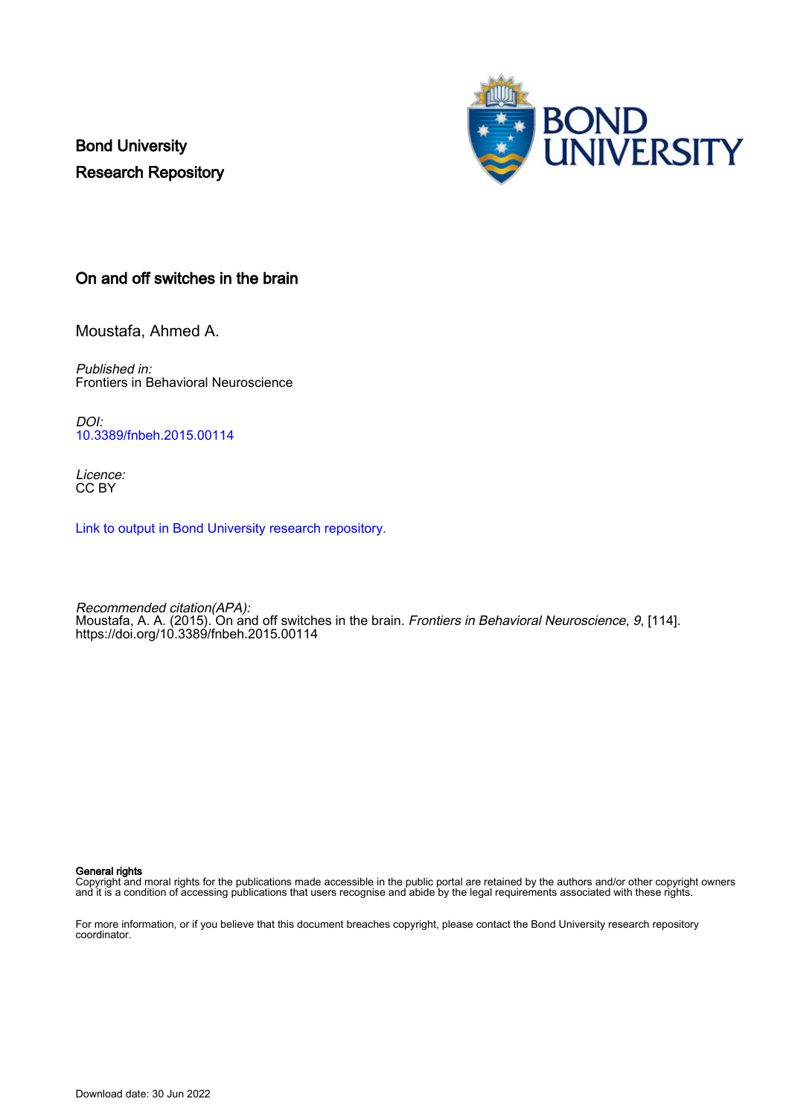Bond University Research Repository



# On and off switches in the brain

Moustafa, Ahmed A.

Published in: Frontiers in Behavioral Neuroscience

DOI: [10.3389/fnbeh.2015.00114](https://doi.org/10.3389/fnbeh.2015.00114)

Licence: CC BY

[Link to output in Bond University research repository.](https://research.bond.edu.au/en/publications/96a8fbdf-9c2a-48a0-9c4a-88737f019380)

Recommended citation(APA): Moustafa, A. A. (2015). On and off switches in the brain. *Frontiers in Behavioral Neuroscience*, *9*, [114]. <https://doi.org/10.3389/fnbeh.2015.00114>

#### General rights

Copyright and moral rights for the publications made accessible in the public portal are retained by the authors and/or other copyright owners and it is a condition of accessing publications that users recognise and abide by the legal requirements associated with these rights.

For more information, or if you believe that this document breaches copyright, please contact the Bond University research repository coordinator.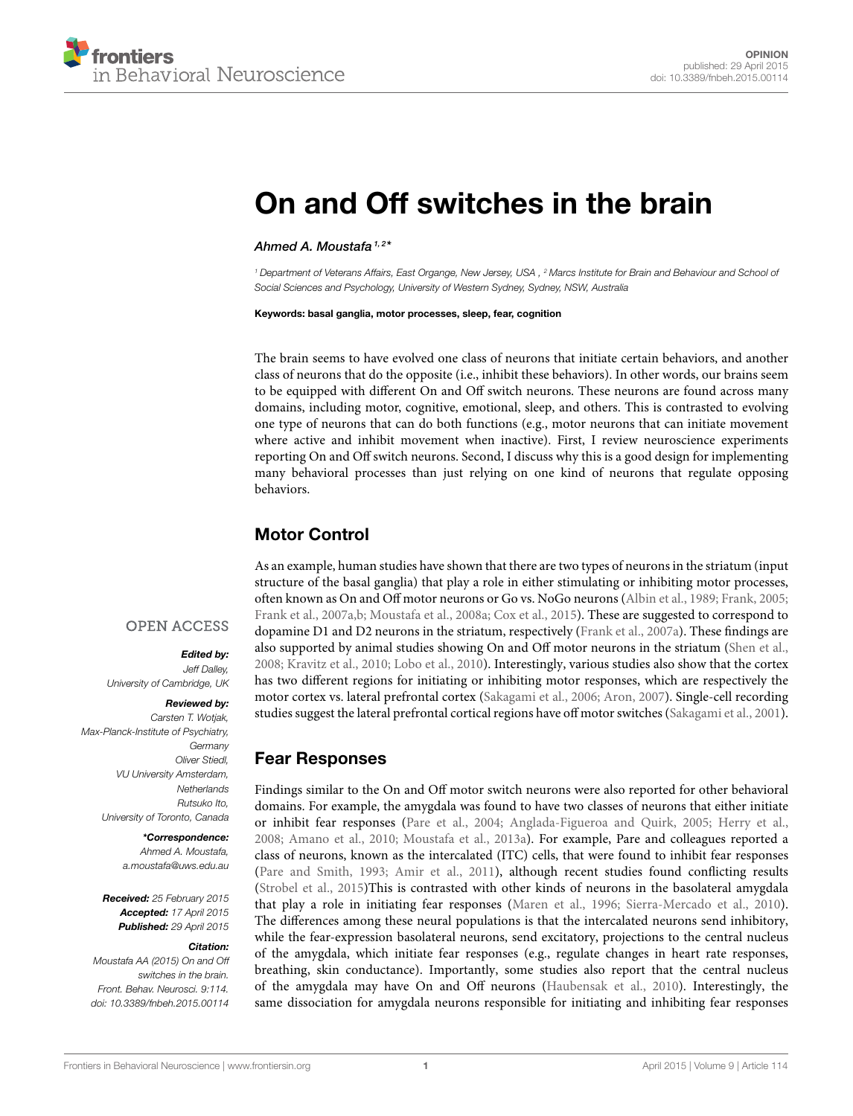

# [On and Off switches in the brain](http://journal.frontiersin.org/article/10.3389/fnbeh.2015.00114/full)

[Ahmed A. Moustafa](http://community.frontiersin.org/people/u/15417) 1, 2\*

*<sup>1</sup> Department of Veterans Affairs, East Organge, New Jersey, USA , <sup>2</sup> Marcs Institute for Brain and Behaviour and School of Social Sciences and Psychology, University of Western Sydney, Sydney, NSW, Australia*

Keywords: basal ganglia, motor processes, sleep, fear, cognition

The brain seems to have evolved one class of neurons that initiate certain behaviors, and another class of neurons that do the opposite (i.e., inhibit these behaviors). In other words, our brains seem to be equipped with different On and Off switch neurons. These neurons are found across many domains, including motor, cognitive, emotional, sleep, and others. This is contrasted to evolving one type of neurons that can do both functions (e.g., motor neurons that can initiate movement where active and inhibit movement when inactive). First, I review neuroscience experiments reporting On and Off switch neurons. Second, I discuss why this is a good design for implementing many behavioral processes than just relying on one kind of neurons that regulate opposing behaviors.

# Motor Control

As an example, human studies have shown that there are two types of neurons in the striatum (input structure of the basal ganglia) that play a role in either stimulating or inhibiting motor processes, often known as On and Off motor neurons or Go vs. NoGo neurons [\(Albin et al., 1989;](#page-4-0) [Frank, 2005;](#page-4-1) [Frank et al., 2007a,](#page-4-2)[b;](#page-4-3) [Moustafa et al., 2008a;](#page-5-0) [Cox et al., 2015\)](#page-4-4). These are suggested to correspond to dopamine D1 and D2 neurons in the striatum, respectively [\(Frank et al., 2007a\)](#page-4-2). These findings are also supported by animal studies showing On and Off motor neurons in the striatum [\(Shen et al.,](#page-5-1) [2008;](#page-5-1) [Kravitz et al., 2010;](#page-5-2) [Lobo et al., 2010\)](#page-5-3). Interestingly, various studies also show that the cortex has two different regions for initiating or inhibiting motor responses, which are respectively the motor cortex vs. lateral prefrontal cortex [\(Sakagami et al., 2006;](#page-5-4) [Aron, 2007\)](#page-4-5). Single-cell recording studies suggest the lateral prefrontal cortical regions have off motor switches [\(Sakagami et al., 2001\)](#page-5-5).

# Fear Responses

Findings similar to the On and Off motor switch neurons were also reported for other behavioral domains. For example, the amygdala was found to have two classes of neurons that either initiate or inhibit fear responses [\(Pare et al., 2004;](#page-5-6) [Anglada-Figueroa and Quirk, 2005;](#page-4-6) [Herry et](#page-5-7) al., [2008;](#page-5-7) [Amano et al., 2010;](#page-4-7) [Moustafa et al., 2013a\)](#page-5-8). For example, Pare and colleagues reported a class of neurons, known as the intercalated (ITC) cells, that were found to inhibit fear responses [\(Pare and Smith, 1993;](#page-5-9) [Amir et al., 2011\)](#page-4-8), although recent studies found conflicting results [\(Strobel et al., 2015\)](#page-5-10)This is contrasted with other kinds of neurons in the basolateral amygdala that play a role in initiating fear responses [\(Maren et al., 1996;](#page-5-11) [Sierra-Mercado et al., 2010\)](#page-5-12). The differences among these neural populations is that the intercalated neurons send inhibitory, while the fear-expression basolateral neurons, send excitatory, projections to the central nucleus of the amygdala, which initiate fear responses (e.g., regulate changes in heart rate responses, breathing, skin conductance). Importantly, some studies also report that the central nucleus of the amygdala may have On and Off neurons [\(Haubensak et al., 2010\)](#page-5-13). Interestingly, the same dissociation for amygdala neurons responsible for initiating and inhibiting fear responses

### **OPEN ACCESS**

# Edited by: *Jeff Dalley,*

*University of Cambridge, UK* Reviewed by: *Carsten T. Wotjak,*

*Max-Planck-Institute of Psychiatry, Germany Oliver Stiedl, VU University Amsterdam, Netherlands Rutsuko Ito, University of Toronto, Canada*

> \*Correspondence: *Ahmed A. Moustafa, [a.moustafa@uws.edu.au](mailto:a.moustafa@uws.edu.au)*

Received: *25 February 2015* Accepted: *17 April 2015* Published: *29 April 2015*

#### Citation:

*Moustafa AA (2015) On and Off switches in the brain. Front. Behav. Neurosci. 9:114. doi: [10.3389/fnbeh.2015.00114](http://dx.doi.org/10.3389/fnbeh.2015.00114)*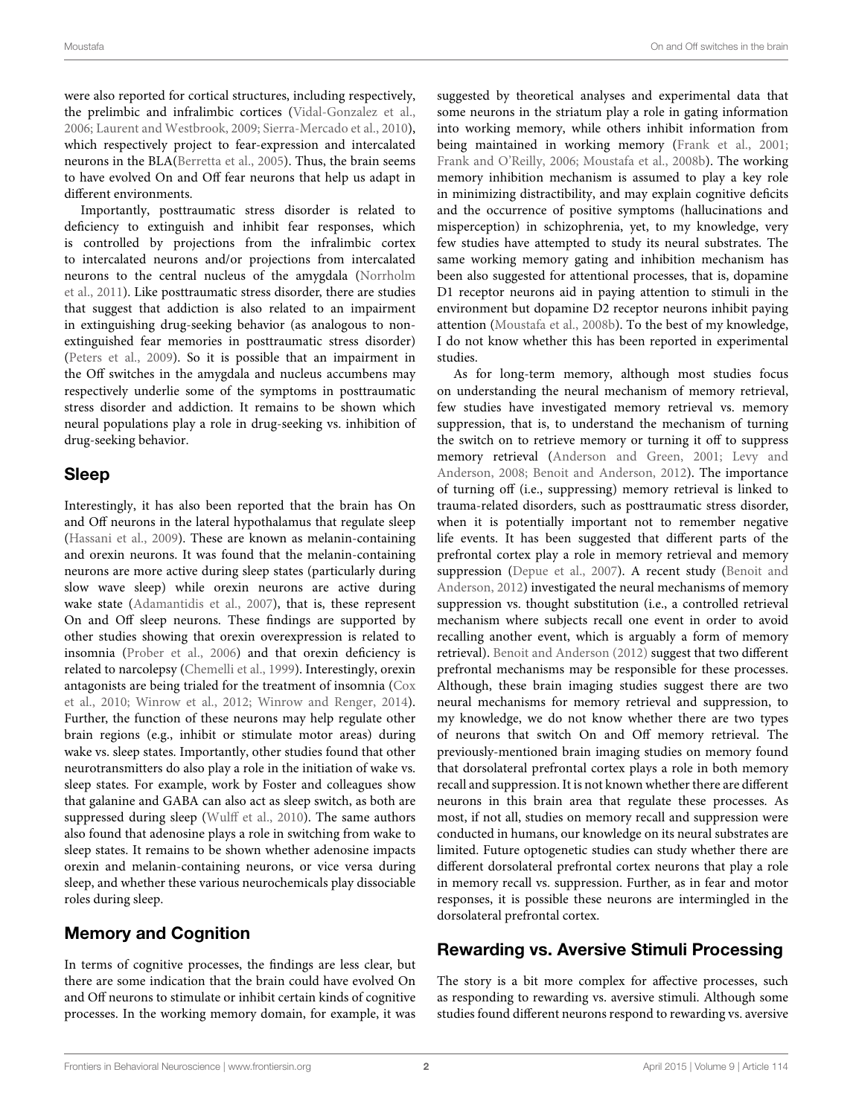were also reported for cortical structures, including respectively, the prelimbic and infralimbic cortices [\(Vidal-Gonzalez et al.,](#page-5-14) [2006;](#page-5-14) [Laurent and Westbrook, 2009;](#page-5-15) [Sierra-Mercado et al., 2010\)](#page-5-12), which respectively project to fear-expression and intercalated neurons in the BLA[\(Berretta et al., 2005\)](#page-4-9). Thus, the brain seems to have evolved On and Off fear neurons that help us adapt in different environments.

Importantly, posttraumatic stress disorder is related to deficiency to extinguish and inhibit fear responses, which is controlled by projections from the infralimbic cortex to intercalated neurons and/or projections from intercalated neurons to the central nucleus of the amygdala (Norrholm et al., [2011\)](#page-5-16). Like posttraumatic stress disorder, there are studies that suggest that addiction is also related to an impairment in extinguishing drug-seeking behavior (as analogous to nonextinguished fear memories in posttraumatic stress disorder) [\(Peters et al., 2009\)](#page-5-17). So it is possible that an impairment in the Off switches in the amygdala and nucleus accumbens may respectively underlie some of the symptoms in posttraumatic stress disorder and addiction. It remains to be shown which neural populations play a role in drug-seeking vs. inhibition of drug-seeking behavior.

# Sleep

Interestingly, it has also been reported that the brain has On and Off neurons in the lateral hypothalamus that regulate sleep [\(Hassani et al., 2009\)](#page-4-10). These are known as melanin-containing and orexin neurons. It was found that the melanin-containing neurons are more active during sleep states (particularly during slow wave sleep) while orexin neurons are active during wake state [\(Adamantidis et al., 2007\)](#page-4-11), that is, these represent On and Off sleep neurons. These findings are supported by other studies showing that orexin overexpression is related to insomnia [\(Prober et al., 2006\)](#page-5-18) and that orexin deficiency is related to narcolepsy [\(Chemelli et al., 1999\)](#page-4-12). Interestingly, orexin antagonists are being trialed for the treatment of insomnia (Cox et al., [2010;](#page-4-13) [Winrow et al., 2012;](#page-5-19) [Winrow and Renger, 2014\)](#page-5-20). Further, the function of these neurons may help regulate other brain regions (e.g., inhibit or stimulate motor areas) during wake vs. sleep states. Importantly, other studies found that other neurotransmitters do also play a role in the initiation of wake vs. sleep states. For example, work by Foster and colleagues show that galanine and GABA can also act as sleep switch, as both are suppressed during sleep [\(Wulff et al., 2010\)](#page-5-21). The same authors also found that adenosine plays a role in switching from wake to sleep states. It remains to be shown whether adenosine impacts orexin and melanin-containing neurons, or vice versa during sleep, and whether these various neurochemicals play dissociable roles during sleep.

# Memory and Cognition

In terms of cognitive processes, the findings are less clear, but there are some indication that the brain could have evolved On and Off neurons to stimulate or inhibit certain kinds of cognitive processes. In the working memory domain, for example, it was suggested by theoretical analyses and experimental data that some neurons in the striatum play a role in gating information into working memory, while others inhibit information from being maintained in working memory [\(Frank et al., 2001;](#page-4-14) [Frank and O'Reilly, 2006;](#page-4-15) [Moustafa et al., 2008b\)](#page-5-22). The working memory inhibition mechanism is assumed to play a key role in minimizing distractibility, and may explain cognitive deficits and the occurrence of positive symptoms (hallucinations and misperception) in schizophrenia, yet, to my knowledge, very few studies have attempted to study its neural substrates. The same working memory gating and inhibition mechanism has been also suggested for attentional processes, that is, dopamine D1 receptor neurons aid in paying attention to stimuli in the environment but dopamine D2 receptor neurons inhibit paying attention [\(Moustafa et al., 2008b\)](#page-5-22). To the best of my knowledge, I do not know whether this has been reported in experimental studies.

As for long-term memory, although most studies focus on understanding the neural mechanism of memory retrieval, few studies have investigated memory retrieval vs. memory suppression, that is, to understand the mechanism of turning the switch on to retrieve memory or turning it off to suppress memory retrieval [\(Anderson and Green, 2001;](#page-4-16) Levy and Anderson, [2008;](#page-5-23) [Benoit and Anderson, 2012\)](#page-4-17). The importance of turning off (i.e., suppressing) memory retrieval is linked to trauma-related disorders, such as posttraumatic stress disorder, when it is potentially important not to remember negative life events. It has been suggested that different parts of the prefrontal cortex play a role in memory retrieval and memory suppression [\(Depue et al., 2007\)](#page-4-18). A recent study (Benoit and Anderson, [2012\)](#page-4-17) investigated the neural mechanisms of memory suppression vs. thought substitution (i.e., a controlled retrieval mechanism where subjects recall one event in order to avoid recalling another event, which is arguably a form of memory retrieval). [Benoit and Anderson \(2012\)](#page-4-17) suggest that two different prefrontal mechanisms may be responsible for these processes. Although, these brain imaging studies suggest there are two neural mechanisms for memory retrieval and suppression, to my knowledge, we do not know whether there are two types of neurons that switch On and Off memory retrieval. The previously-mentioned brain imaging studies on memory found that dorsolateral prefrontal cortex plays a role in both memory recall and suppression. It is not known whether there are different neurons in this brain area that regulate these processes. As most, if not all, studies on memory recall and suppression were conducted in humans, our knowledge on its neural substrates are limited. Future optogenetic studies can study whether there are different dorsolateral prefrontal cortex neurons that play a role in memory recall vs. suppression. Further, as in fear and motor responses, it is possible these neurons are intermingled in the dorsolateral prefrontal cortex.

# Rewarding vs. Aversive Stimuli Processing

The story is a bit more complex for affective processes, such as responding to rewarding vs. aversive stimuli. Although some studies found different neurons respond to rewarding vs. aversive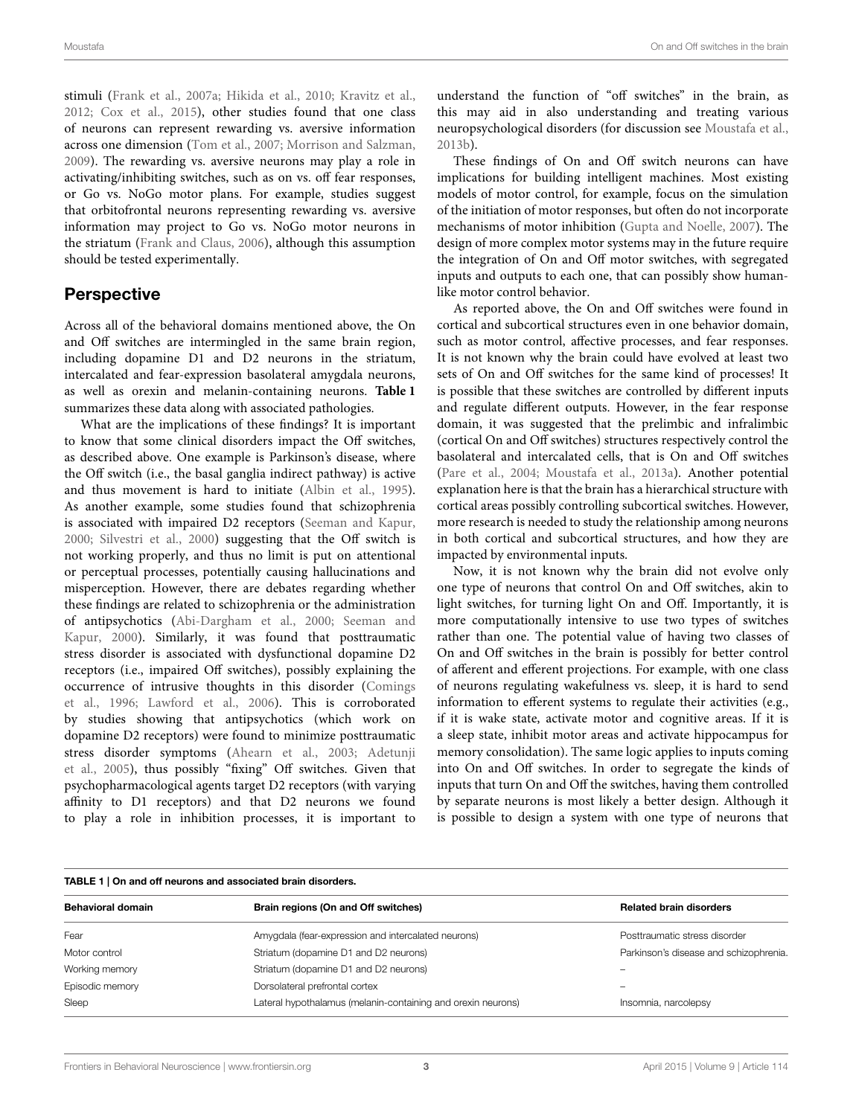stimuli [\(Frank et al., 2007a;](#page-4-2) [Hikida et al., 2010;](#page-5-24) [Kravitz et al.,](#page-5-25) [2012;](#page-5-25) [Cox et al., 2015\)](#page-4-4), other studies found that one class of neurons can represent rewarding vs. aversive information across one dimension [\(Tom et al., 2007;](#page-5-26) [Morrison and Salzman,](#page-5-27) [2009\)](#page-5-27). The rewarding vs. aversive neurons may play a role in activating/inhibiting switches, such as on vs. off fear responses, or Go vs. NoGo motor plans. For example, studies suggest that orbitofrontal neurons representing rewarding vs. aversive information may project to Go vs. NoGo motor neurons in the striatum [\(Frank and Claus, 2006\)](#page-4-19), although this assumption should be tested experimentally.

# Perspective

Across all of the behavioral domains mentioned above, the On and Off switches are intermingled in the same brain region, including dopamine D1 and D2 neurons in the striatum, intercalated and fear-expression basolateral amygdala neurons, as well as orexin and melanin-containing neurons. **[Table 1](#page-3-0)** summarizes these data along with associated pathologies.

What are the implications of these findings? It is important to know that some clinical disorders impact the Off switches, as described above. One example is Parkinson's disease, where the Off switch (i.e., the basal ganglia indirect pathway) is active and thus movement is hard to initiate [\(Albin et al., 1995\)](#page-4-20). As another example, some studies found that schizophrenia is associated with impaired D2 receptors [\(Seeman and Kapur,](#page-5-28) [2000;](#page-5-28) [Silvestri et al., 2000\)](#page-5-29) suggesting that the Off switch is not working properly, and thus no limit is put on attentional or perceptual processes, potentially causing hallucinations and misperception. However, there are debates regarding whether these findings are related to schizophrenia or the administration of antipsychotics [\(Abi-Dargham et al., 2000;](#page-4-21) Seeman and Kapur, [2000\)](#page-5-28). Similarly, it was found that posttraumatic stress disorder is associated with dysfunctional dopamine D2 receptors (i.e., impaired Off switches), possibly explaining the occurrence of intrusive thoughts in this disorder (Comings et al., [1996;](#page-4-22) [Lawford et al., 2006\)](#page-5-30). This is corroborated by studies showing that antipsychotics (which work on dopamine D2 receptors) were found to minimize posttraumatic stress disorder symptoms [\(Ahearn et al., 2003;](#page-4-23) Adetunji et al., [2005\)](#page-4-24), thus possibly "fixing" Off switches. Given that psychopharmacological agents target D2 receptors (with varying affinity to D1 receptors) and that D2 neurons we found to play a role in inhibition processes, it is important to

understand the function of "off switches" in the brain, as this may aid in also understanding and treating various neuropsychological disorders (for discussion see [Moustafa et al.,](#page-5-31) [2013b\)](#page-5-31).

These findings of On and Off switch neurons can have implications for building intelligent machines. Most existing models of motor control, for example, focus on the simulation of the initiation of motor responses, but often do not incorporate mechanisms of motor inhibition [\(Gupta and Noelle, 2007\)](#page-4-25). The design of more complex motor systems may in the future require the integration of On and Off motor switches, with segregated inputs and outputs to each one, that can possibly show humanlike motor control behavior.

As reported above, the On and Off switches were found in cortical and subcortical structures even in one behavior domain, such as motor control, affective processes, and fear responses. It is not known why the brain could have evolved at least two sets of On and Off switches for the same kind of processes! It is possible that these switches are controlled by different inputs and regulate different outputs. However, in the fear response domain, it was suggested that the prelimbic and infralimbic (cortical On and Off switches) structures respectively control the basolateral and intercalated cells, that is On and Off switches [\(Pare et al., 2004;](#page-5-6) [Moustafa et al., 2013a\)](#page-5-8). Another potential explanation here is that the brain has a hierarchical structure with cortical areas possibly controlling subcortical switches. However, more research is needed to study the relationship among neurons in both cortical and subcortical structures, and how they are impacted by environmental inputs.

Now, it is not known why the brain did not evolve only one type of neurons that control On and Off switches, akin to light switches, for turning light On and Off. Importantly, it is more computationally intensive to use two types of switches rather than one. The potential value of having two classes of On and Off switches in the brain is possibly for better control of afferent and efferent projections. For example, with one class of neurons regulating wakefulness vs. sleep, it is hard to send information to efferent systems to regulate their activities (e.g., if it is wake state, activate motor and cognitive areas. If it is a sleep state, inhibit motor areas and activate hippocampus for memory consolidation). The same logic applies to inputs coming into On and Off switches. In order to segregate the kinds of inputs that turn On and Off the switches, having them controlled by separate neurons is most likely a better design. Although it is possible to design a system with one type of neurons that

<span id="page-3-0"></span>

| TABLE 1   On and off neurons and associated brain disorders. |                                                              |                                        |
|--------------------------------------------------------------|--------------------------------------------------------------|----------------------------------------|
| <b>Behavioral domain</b>                                     | Brain regions (On and Off switches)                          | <b>Related brain disorders</b>         |
| Fear                                                         | Amygdala (fear-expression and intercalated neurons)          | Posttraumatic stress disorder          |
| Motor control                                                | Striatum (dopamine D1 and D2 neurons)                        | Parkinson's disease and schizophrenia. |
| Working memory                                               | Striatum (dopamine D1 and D2 neurons)                        |                                        |
| Episodic memory                                              | Dorsolateral prefrontal cortex                               | $\overline{\phantom{a}}$               |
| Sleep                                                        | Lateral hypothalamus (melanin-containing and orexin neurons) | Insomnia, narcolepsy                   |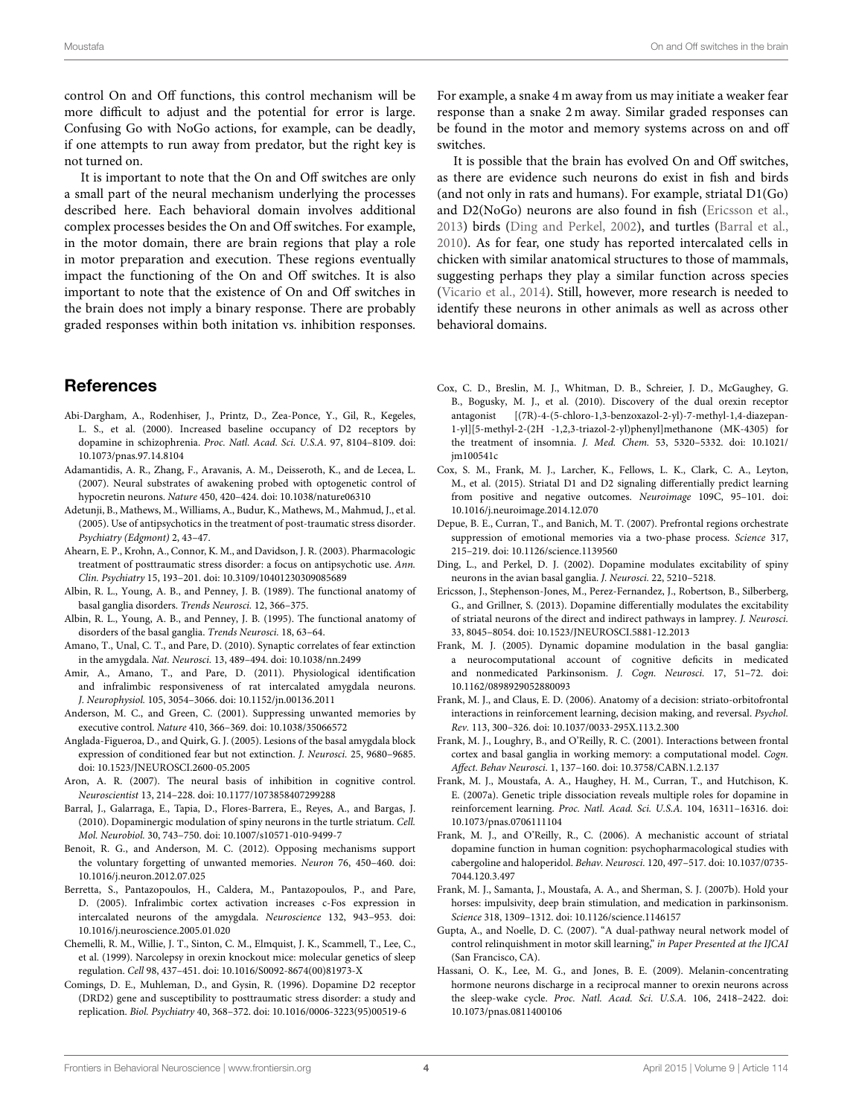control On and Off functions, this control mechanism will be more difficult to adjust and the potential for error is large. Confusing Go with NoGo actions, for example, can be deadly, if one attempts to run away from predator, but the right key is not turned on.

It is important to note that the On and Off switches are only a small part of the neural mechanism underlying the processes described here. Each behavioral domain involves additional complex processes besides the On and Off switches. For example, in the motor domain, there are brain regions that play a role in motor preparation and execution. These regions eventually impact the functioning of the On and Off switches. It is also important to note that the existence of On and Off switches in the brain does not imply a binary response. There are probably graded responses within both initation vs. inhibition responses.

### References

- <span id="page-4-21"></span>Abi-Dargham, A., Rodenhiser, J., Printz, D., Zea-Ponce, Y., Gil, R., Kegeles, L. S., et al. (2000). Increased baseline occupancy of D2 receptors by dopamine in schizophrenia. Proc. Natl. Acad. Sci. U.S.A. 97, 8104–8109. doi: 10.1073/pnas.97.14.8104
- <span id="page-4-11"></span>Adamantidis, A. R., Zhang, F., Aravanis, A. M., Deisseroth, K., and de Lecea, L. (2007). Neural substrates of awakening probed with optogenetic control of hypocretin neurons. Nature 450, 420–424. doi: 10.1038/nature06310
- <span id="page-4-24"></span>Adetunji, B., Mathews, M., Williams, A., Budur, K., Mathews, M., Mahmud, J., et al. (2005). Use of antipsychotics in the treatment of post-traumatic stress disorder. Psychiatry (Edgmont) 2, 43–47.
- <span id="page-4-23"></span>Ahearn, E. P., Krohn, A., Connor, K. M., and Davidson, J. R. (2003). Pharmacologic treatment of posttraumatic stress disorder: a focus on antipsychotic use. Ann. Clin. Psychiatry 15, 193–201. doi: 10.3109/10401230309085689
- <span id="page-4-0"></span>Albin, R. L., Young, A. B., and Penney, J. B. (1989). The functional anatomy of basal ganglia disorders. Trends Neurosci. 12, 366–375.
- <span id="page-4-20"></span>Albin, R. L., Young, A. B., and Penney, J. B. (1995). The functional anatomy of disorders of the basal ganglia. Trends Neurosci. 18, 63–64.
- <span id="page-4-7"></span>Amano, T., Unal, C. T., and Pare, D. (2010). Synaptic correlates of fear extinction in the amygdala. Nat. Neurosci. 13, 489–494. doi: 10.1038/nn.2499
- <span id="page-4-8"></span>Amir, A., Amano, T., and Pare, D. (2011). Physiological identification and infralimbic responsiveness of rat intercalated amygdala neurons. J. Neurophysiol. 105, 3054–3066. doi: 10.1152/jn.00136.2011
- <span id="page-4-16"></span>Anderson, M. C., and Green, C. (2001). Suppressing unwanted memories by executive control. Nature 410, 366–369. doi: 10.1038/35066572
- <span id="page-4-6"></span>Anglada-Figueroa, D., and Quirk, G. J. (2005). Lesions of the basal amygdala block expression of conditioned fear but not extinction. J. Neurosci. 25, 9680–9685. doi: 10.1523/JNEUROSCI.2600-05.2005
- <span id="page-4-5"></span>Aron, A. R. (2007). The neural basis of inhibition in cognitive control. Neuroscientist 13, 214–228. doi: 10.1177/1073858407299288
- <span id="page-4-28"></span>Barral, J., Galarraga, E., Tapia, D., Flores-Barrera, E., Reyes, A., and Bargas, J. (2010). Dopaminergic modulation of spiny neurons in the turtle striatum. Cell. Mol. Neurobiol. 30, 743–750. doi: 10.1007/s10571-010-9499-7
- <span id="page-4-17"></span>Benoit, R. G., and Anderson, M. C. (2012). Opposing mechanisms support the voluntary forgetting of unwanted memories. Neuron 76, 450–460. doi: 10.1016/j.neuron.2012.07.025
- <span id="page-4-9"></span>Berretta, S., Pantazopoulos, H., Caldera, M., Pantazopoulos, P., and Pare, D. (2005). Infralimbic cortex activation increases c-Fos expression in intercalated neurons of the amygdala. Neuroscience 132, 943–953. doi: 10.1016/j.neuroscience.2005.01.020
- <span id="page-4-12"></span>Chemelli, R. M., Willie, J. T., Sinton, C. M., Elmquist, J. K., Scammell, T., Lee, C., et al. (1999). Narcolepsy in orexin knockout mice: molecular genetics of sleep regulation. Cell 98, 437–451. doi: 10.1016/S0092-8674(00)81973-X
- <span id="page-4-22"></span>Comings, D. E., Muhleman, D., and Gysin, R. (1996). Dopamine D2 receptor (DRD2) gene and susceptibility to posttraumatic stress disorder: a study and replication. Biol. Psychiatry 40, 368–372. doi: 10.1016/0006-3223(95)00519-6

For example, a snake 4 m away from us may initiate a weaker fear response than a snake 2 m away. Similar graded responses can be found in the motor and memory systems across on and off switches.

It is possible that the brain has evolved On and Off switches, as there are evidence such neurons do exist in fish and birds (and not only in rats and humans). For example, striatal D1(Go) and D2(NoGo) neurons are also found in fish [\(Ericsson et al.,](#page-4-26) [2013\)](#page-4-26) birds [\(Ding and Perkel, 2002\)](#page-4-27), and turtles [\(Barral et al.,](#page-4-28) [2010\)](#page-4-28). As for fear, one study has reported intercalated cells in chicken with similar anatomical structures to those of mammals, suggesting perhaps they play a similar function across species [\(Vicario et al., 2014\)](#page-5-32). Still, however, more research is needed to identify these neurons in other animals as well as across other behavioral domains.

- <span id="page-4-13"></span>Cox, C. D., Breslin, M. J., Whitman, D. B., Schreier, J. D., McGaughey, G. B., Bogusky, M. J., et al. (2010). Discovery of the dual orexin receptor antagonist [(7R)-4-(5-chloro-1,3-benzoxazol-2-yl)-7-methyl-1,4-diazepan-1-yl][5-methyl-2-(2H -1,2,3-triazol-2-yl)phenyl]methanone (MK-4305) for the treatment of insomnia. J. Med. Chem. 53, 5320–5332. doi: 10.1021/ jm100541c
- <span id="page-4-4"></span>Cox, S. M., Frank, M. J., Larcher, K., Fellows, L. K., Clark, C. A., Leyton, M., et al. (2015). Striatal D1 and D2 signaling differentially predict learning from positive and negative outcomes. Neuroimage 109C, 95–101. doi: 10.1016/j.neuroimage.2014.12.070
- <span id="page-4-18"></span>Depue, B. E., Curran, T., and Banich, M. T. (2007). Prefrontal regions orchestrate suppression of emotional memories via a two-phase process. Science 317, 215–219. doi: 10.1126/science.1139560
- <span id="page-4-27"></span>Ding, L., and Perkel, D. J. (2002). Dopamine modulates excitability of spiny neurons in the avian basal ganglia. J. Neurosci. 22, 5210–5218.
- <span id="page-4-26"></span>Ericsson, J., Stephenson-Jones, M., Perez-Fernandez, J., Robertson, B., Silberberg, G., and Grillner, S. (2013). Dopamine differentially modulates the excitability of striatal neurons of the direct and indirect pathways in lamprey. J. Neurosci. 33, 8045–8054. doi: 10.1523/JNEUROSCI.5881-12.2013
- <span id="page-4-1"></span>Frank, M. J. (2005). Dynamic dopamine modulation in the basal ganglia: a neurocomputational account of cognitive deficits in medicated and nonmedicated Parkinsonism. J. Cogn. Neurosci. 17, 51–72. doi: 10.1162/0898929052880093
- <span id="page-4-19"></span>Frank, M. J., and Claus, E. D. (2006). Anatomy of a decision: striato-orbitofrontal interactions in reinforcement learning, decision making, and reversal. Psychol. Rev. 113, 300–326. doi: 10.1037/0033-295X.113.2.300
- <span id="page-4-14"></span>Frank, M. J., Loughry, B., and O'Reilly, R. C. (2001). Interactions between frontal cortex and basal ganglia in working memory: a computational model. Cogn. Affect. Behav Neurosci. 1, 137–160. doi: 10.3758/CABN.1.2.137
- <span id="page-4-2"></span>Frank, M. J., Moustafa, A. A., Haughey, H. M., Curran, T., and Hutchison, K. E. (2007a). Genetic triple dissociation reveals multiple roles for dopamine in reinforcement learning. Proc. Natl. Acad. Sci. U.S.A. 104, 16311–16316. doi: 10.1073/pnas.0706111104
- <span id="page-4-15"></span>Frank, M. J., and O'Reilly, R., C. (2006). A mechanistic account of striatal dopamine function in human cognition: psychopharmacological studies with cabergoline and haloperidol. Behav. Neurosci. 120, 497–517. doi: 10.1037/0735- 7044.120.3.497
- <span id="page-4-3"></span>Frank, M. J., Samanta, J., Moustafa, A. A., and Sherman, S. J. (2007b). Hold your horses: impulsivity, deep brain stimulation, and medication in parkinsonism. Science 318, 1309–1312. doi: 10.1126/science.1146157
- <span id="page-4-25"></span>Gupta, A., and Noelle, D. C. (2007). "A dual-pathway neural network model of control relinquishment in motor skill learning," in Paper Presented at the IJCAI (San Francisco, CA).
- <span id="page-4-10"></span>Hassani, O. K., Lee, M. G., and Jones, B. E. (2009). Melanin-concentrating hormone neurons discharge in a reciprocal manner to orexin neurons across the sleep-wake cycle. Proc. Natl. Acad. Sci. U.S.A. 106, 2418–2422. doi: 10.1073/pnas.0811400106